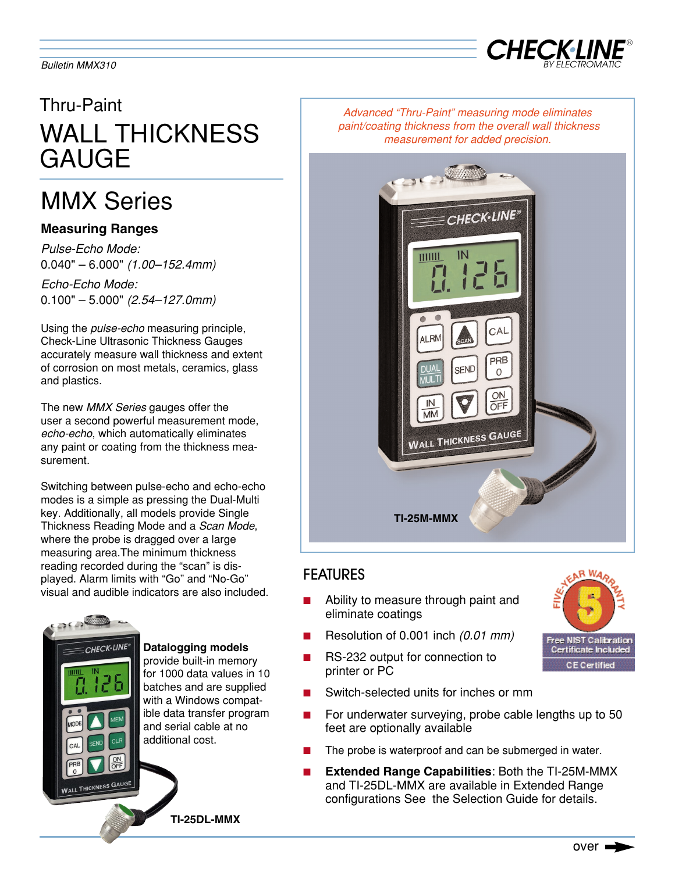

# Thru-Paint WALL THICKNESS GAUGE

# MMX Series

## **Measuring Ranges**

*Pulse-Echo Mode:* 0.040" – 6.000" *(1.00–152.4mm)*

*Echo-Echo Mode:* 0.100" – 5.000" *(2.54–127.0mm)*

Using the *pulse-echo* measuring principle, Check-Line Ultrasonic Thickness Gauges accurately measure wall thickness and extent of corrosion on most metals, ceramics, glass and plastics.

The new *MMX Series* gauges offer the user a second powerful measurement mode, *echo-echo*, which automatically eliminates any paint or coating from the thickness measurement.

Switching between pulse-echo and echo-echo modes is a simple as pressing the Dual-Multi key. Additionally, all models provide Single Thickness Reading Mode and a *Scan Mode*, where the probe is dragged over a large measuring area.The minimum thickness reading recorded during the "scan" is displayed. Alarm limits with "Go" and "No-Go" visual and audible indicators are also included.



**Datalogging models** provide built-in memory for 1000 data values in 10 batches and are supplied with a Windows compatible data transfer program and serial cable at no additional cost.

**TI-25DL-MMX**

*Advanced "Thru-Paint" measuring mode eliminates paint/coating thickness from the overall wall thickness measurement for added precision.* 



## FEATURES

- Ability to measure through paint and eliminate coatings
- Resolution of 0.001 inch *(0.01 mm)*
- RS-232 output for connection to printer or PC
- Switch-selected units for inches or mm
- For underwater surveying, probe cable lengths up to 50 feet are optionally available
- The probe is waterproof and can be submerged in water.
- **Extended Range Capabilities: Both the TI-25M-MMX** and TI-25DL-MMX are available in Extended Range configurations See the Selection Guide for details.